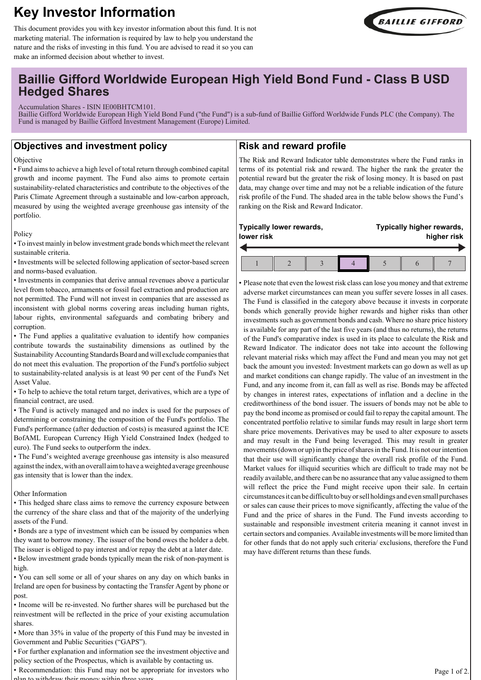# **Key Investor Information**



This document provides you with key investor information about this fund. It is not marketing material. The information is required by law to help you understand the nature and the risks of investing in this fund. You are advised to read it so you can make an informed decision about whether to invest.

## **Baillie Gifford Worldwide European High Yield Bond Fund - Class B USD Hedged Shares**

Accumulation Shares - ISIN IE00BHTCM101.

Baillie Gifford Worldwide European High Yield Bond Fund ("the Fund") is a sub-fund of Baillie Gifford Worldwide Funds PLC (the Company). The Fund is managed by Baillie Gifford Investment Management (Europe) Limited.

## **Objectives and investment policy**

#### Objective

• Fund aims to achieve a high level of total return through combined capital growth and income payment. The Fund also aims to promote certain sustainability-related characteristics and contribute to the objectives of the Paris Climate Agreement through a sustainable and low-carbon approach, measured by using the weighted average greenhouse gas intensity of the portfolio.

#### Policy

• To invest mainly in below investment grade bonds which meet the relevant sustainable criteria.

• Investments will be selected following application of sector-based screen and norms-based evaluation.

• Investments in companies that derive annual revenues above a particular level from tobacco, armaments or fossil fuel extraction and production are not permitted. The Fund will not invest in companies that are assessed as inconsistent with global norms covering areas including human rights, labour rights, environmental safeguards and combating bribery and corruption.

• The Fund applies a qualitative evaluation to identify how companies contribute towards the sustainability dimensions as outlined by the Sustainability Accounting Standards Board and will exclude companies that do not meet this evaluation. The proportion of the Fund's portfolio subject to sustainability-related analysis is at least 90 per cent of the Fund's Net Asset Value.

• To help to achieve the total return target, derivatives, which are a type of financial contract, are used.

• The Fund is actively managed and no index is used for the purposes of determining or constraining the composition of the Fund's portfolio. The Fund's performance (after deduction of costs) is measured against the ICE BofAML European Currency High Yield Constrained Index (hedged to euro). The Fund seeks to outperform the index.

• The Fund's weighted average greenhouse gas intensity is also measured against the index, with an overall aim to have a weighted average greenhouse gas intensity that is lower than the index.

#### Other Information

• This hedged share class aims to remove the currency exposure between the currency of the share class and that of the majority of the underlying assets of the Fund.

• Bonds are a type of investment which can be issued by companies when they want to borrow money. The issuer of the bond owes the holder a debt. The issuer is obliged to pay interest and/or repay the debt at a later date.

• Below investment grade bonds typically mean the risk of non-payment is high.

• You can sell some or all of your shares on any day on which banks in Ireland are open for business by contacting the Transfer Agent by phone or post.

• Income will be re-invested. No further shares will be purchased but the reinvestment will be reflected in the price of your existing accumulation shares.

• More than 35% in value of the property of this Fund may be invested in Government and Public Securities ("GAPS").

• For further explanation and information see the investment objective and

policy section of the Prospectus, which is available by contacting us. • Recommendation: this Fund may not be appropriate for investors who

with draw their money within the

## **Risk and reward profile**

The Risk and Reward Indicator table demonstrates where the Fund ranks in terms of its potential risk and reward. The higher the rank the greater the potential reward but the greater the risk of losing money. It is based on past data, may change over time and may not be a reliable indication of the future risk profile of the Fund. The shaded area in the table below shows the Fund's ranking on the Risk and Reward Indicator.

| Typically lower rewards, |  |  |  | Typically higher rewards, |  |  |
|--------------------------|--|--|--|---------------------------|--|--|
| lower risk               |  |  |  | higher risk               |  |  |
|                          |  |  |  |                           |  |  |

• Please note that even the lowest risk class can lose you money and that extreme adverse market circumstances can mean you suffer severe losses in all cases. The Fund is classified in the category above because it invests in corporate bonds which generally provide higher rewards and higher risks than other investments such as government bonds and cash. Where no share price history is available for any part of the last five years (and thus no returns), the returns of the Fund's comparative index is used in its place to calculate the Risk and Reward Indicator. The indicator does not take into account the following relevant material risks which may affect the Fund and mean you may not get back the amount you invested: Investment markets can go down as well as up and market conditions can change rapidly. The value of an investment in the Fund, and any income from it, can fall as well as rise. Bonds may be affected by changes in interest rates, expectations of inflation and a decline in the creditworthiness of the bond issuer. The issuers of bonds may not be able to pay the bond income as promised or could fail to repay the capital amount. The concentrated portfolio relative to similar funds may result in large short term share price movements. Derivatives may be used to alter exposure to assets and may result in the Fund being leveraged. This may result in greater movements (down or up) in the price of shares in the Fund. It is not our intention that their use will significantly change the overall risk profile of the Fund. Market values for illiquid securities which are difficult to trade may not be readily available, and there can be no assurance that any value assigned to them will reflect the price the Fund might receive upon their sale. In certain circumstances it can be difficult to buy or sell holdings and even small purchases or sales can cause their prices to move significantly, affecting the value of the Fund and the price of shares in the Fund. The Fund invests according to sustainable and responsible investment criteria meaning it cannot invest in certain sectors and companies. Available investments will be more limited than for other funds that do not apply such criteria/ exclusions, therefore the Fund may have different returns than these funds.